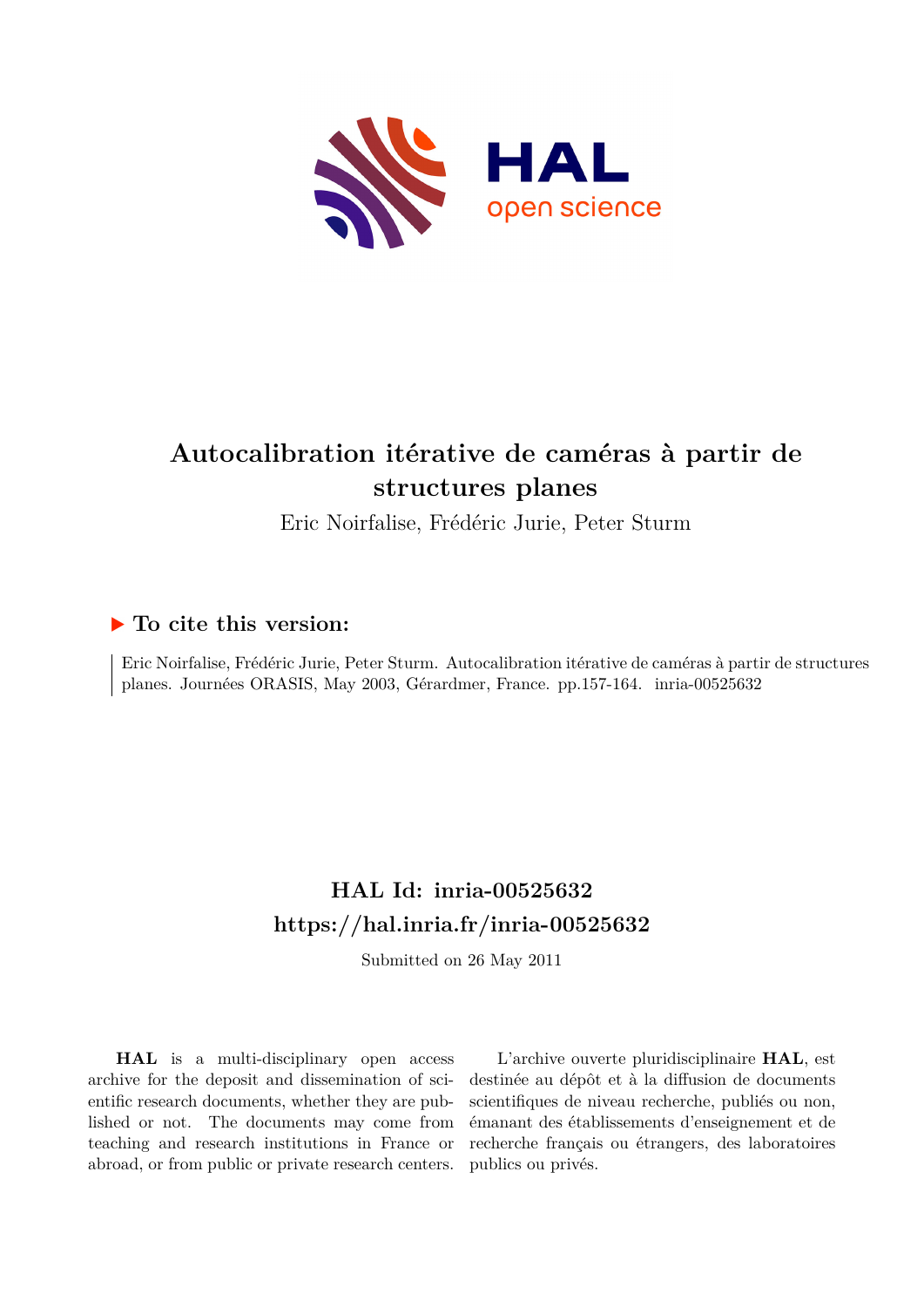

# **Autocalibration itérative de caméras à partir de structures planes**

Eric Noirfalise, Frédéric Jurie, Peter Sturm

# **To cite this version:**

Eric Noirfalise, Frédéric Jurie, Peter Sturm. Autocalibration itérative de caméras à partir de structures planes. Journées ORASIS, May 2003, Gérardmer, France. pp.157-164. inria-00525632

# **HAL Id: inria-00525632 <https://hal.inria.fr/inria-00525632>**

Submitted on 26 May 2011

**HAL** is a multi-disciplinary open access archive for the deposit and dissemination of scientific research documents, whether they are published or not. The documents may come from teaching and research institutions in France or abroad, or from public or private research centers.

L'archive ouverte pluridisciplinaire **HAL**, est destinée au dépôt et à la diffusion de documents scientifiques de niveau recherche, publiés ou non, émanant des établissements d'enseignement et de recherche français ou étrangers, des laboratoires publics ou privés.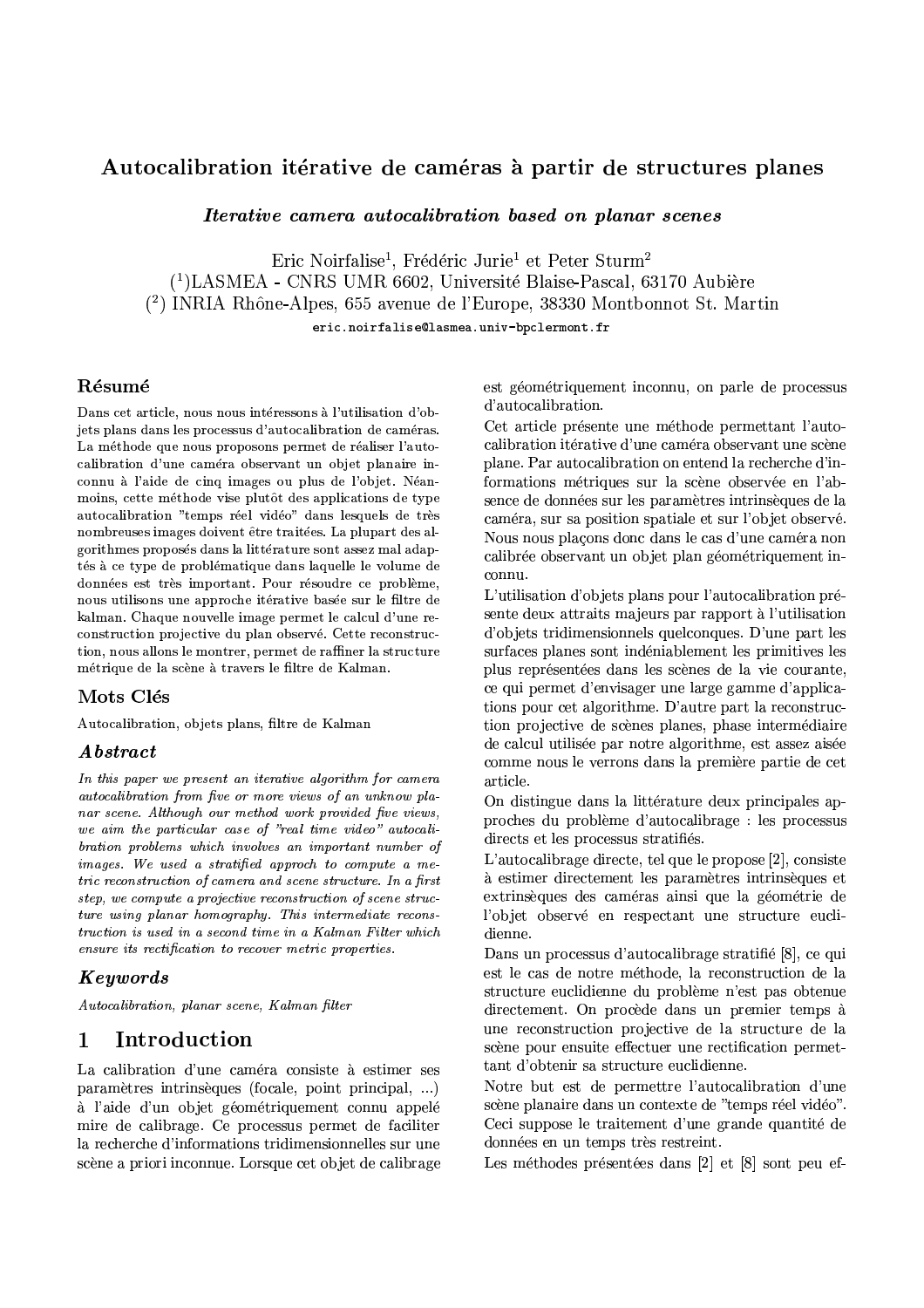## Autocalibration itérative de caméras à partir de structures planes

*Iterative camera autocalibration based on planar scenes* 

Eric Noirfalise<sup>1</sup>, Frédéric Jurie<sup>1</sup> et Peter Sturm<sup>2</sup> <sup>(1</sup>)LASMEA - CNRS UMR 6602, Université Blaise-Pascal, 63170 Aubière (2) INRIA Rhône-Alpes, 655 avenue de l'Europe, 38330 Montbonnot St. Martin eric.noirfalise@lasmea.univ-bpclermont.fr

## Résumé

Dans cet article, nous nous intéressons à l'utilisation d'objets plans dans les processus d'autocalibration de caméras. La méthode que nous proposons permet de réaliser l'autocalibration d'une caméra observant un objet planaire inconnu à l'aide de cinq images ou plus de l'objet. Néanmoins, cette méthode vise plutôt des applications de type autocalibration "temps réel vidéo" dans lesquels de très nombreuses images doivent être traitées. La plupart des algorithmes proposés dans la littérature sont assez mal adaptés à ce type de problématique dans laquelle le volume de données est très important. Pour résoudre ce problème, nous utilisons une approche itérative basée sur le filtre de kalman. Chaque nouvelle image permet le calcul d'une reconstruction projective du plan observé. Cette reconstruction, nous allons le montrer, permet de raffiner la structure métrique de la scène à travers le filtre de Kalman.

## Mots Clés

Autocalibration, objets plans, filtre de Kalman

## Abstract

In this paper we present an iterative algorithm for camera autocalibration from five or more views of an unknow planar scene. Although our method work provided five views, we aim the particular case of "real time video" autocalibration problems which involves an important number of images. We used a stratified approch to compute a metric reconstruction of camera and scene structure. In a first step, we compute a projective reconstruction of scene structure using planar homography. This intermediate reconstruction is used in a second time in a Kalman Filter which ensure its rectification to recover metric properties.

## Keywords

Autocalibration, planar scene, Kalman filter

#### Introduction  $\mathbf 1$

La calibration d'une caméra consiste à estimer ses paramètres intrinsèques (focale, point principal, ...) à l'aide d'un objet géométriquement connu appelé mire de calibrage. Ce processus permet de faciliter la recherche d'informations tridimensionnelles sur une scène a priori inconnue. Lorsque cet objet de calibrage est géométriquement inconnu, on parle de processus d'autocalibration.

Cet article présente une méthode permettant l'autocalibration itérative d'une caméra observant une scène plane. Par autocalibration on entend la recherche d'informations métriques sur la scène observée en l'absence de données sur les paramètres intrinsèques de la caméra, sur sa position spatiale et sur l'objet observé. Nous nous placons donc dans le cas d'une caméra non calibrée observant un objet plan géométriquement inconnu.

L'utilisation d'objets plans pour l'autocalibration présente deux attraits majeurs par rapport à l'utilisation d'objets tridimensionnels quelconques. D'une part les surfaces planes sont indéniablement les primitives les plus représentées dans les scènes de la vie courante, ce qui permet d'envisager une large gamme d'applications pour cet algorithme. D'autre part la reconstruction projective de scènes planes, phase intermédiaire de calcul utilisée par notre algorithme, est assez aisée comme nous le verrons dans la première partie de cet article.

On distingue dans la littérature deux principales approches du problème d'autocalibrage : les processus directs et les processus stratifiés.

L'autocalibrage directe, tel que le propose [2], consiste à estimer directement les paramètres intrinsèques et extrinsèques des caméras ainsi que la géométrie de l'objet observé en respectant une structure euclidienne.

Dans un processus d'autocalibrage stratifié [8], ce qui est le cas de notre méthode, la reconstruction de la structure euclidienne du problème n'est pas obtenue directement. On procède dans un premier temps à une reconstruction projective de la structure de la scène pour ensuite effectuer une rectification permettant d'obtenir sa structure euclidienne.

Notre but est de permettre l'autocalibration d'une scène planaire dans un contexte de "temps réel vidéo". Ceci suppose le traitement d'une grande quantité de données en un temps très restreint.

Les méthodes présentées dans [2] et [8] sont peu ef-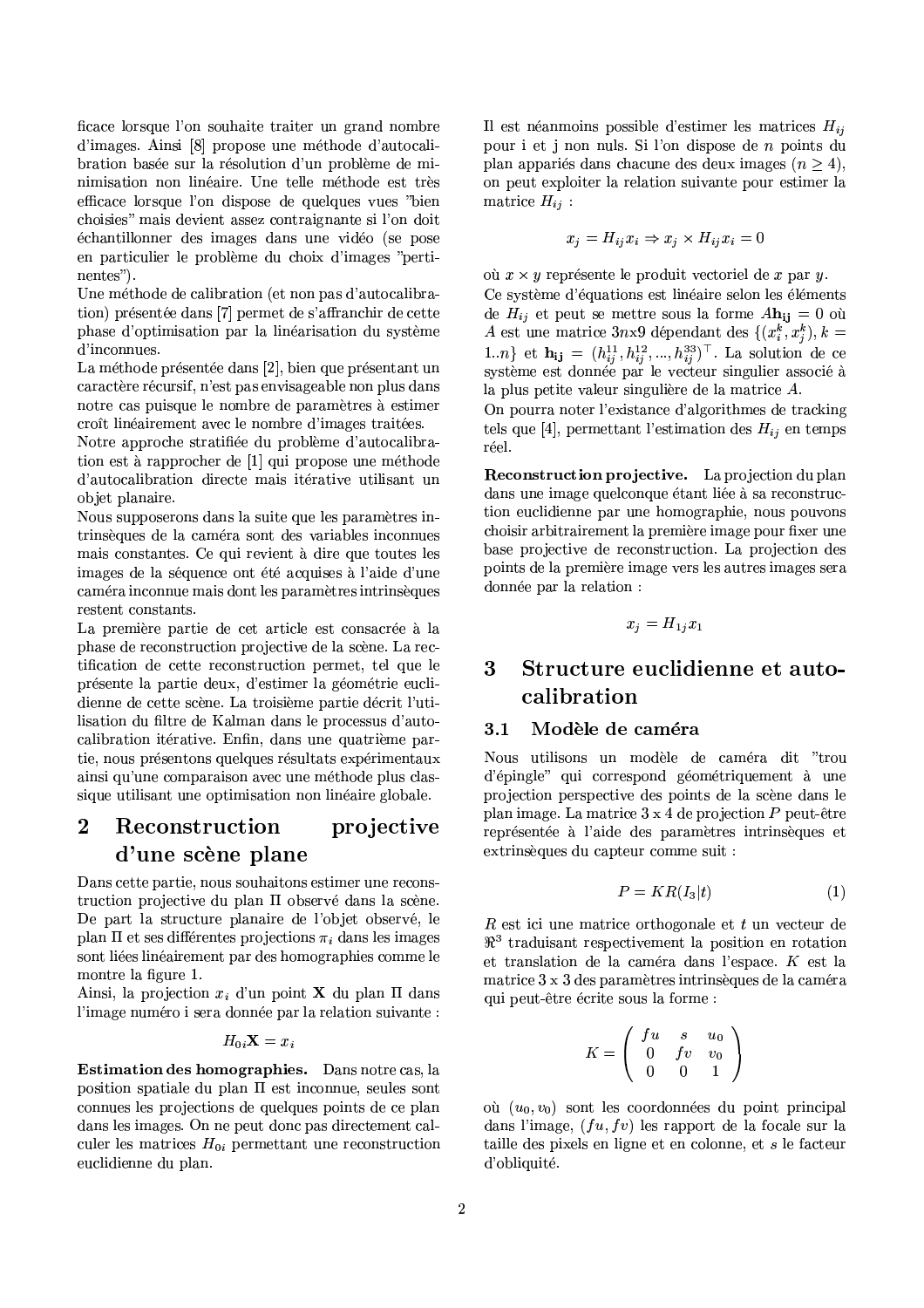ficace lorsque l'on souhaite traiter un grand nombre d'images. Ainsi [8] propose une méthode d'autocalibration basée sur la résolution d'un problème de minimisation non linéaire. Une telle méthode est très efficace lorsque l'on dispose de quelques vues "bien choisies" mais devient assez contraignante si l'on doit échantillonner des images dans une vidéo (se pose en particulier le problème du choix d'images "pertinentes").

Une méthode de calibration (et non pas d'autocalibration) présentée dans [7] permet de s'affranchir de cette phase d'optimisation par la linéarisation du système d'inconnues.

La méthode présentée dans [2], bien que présentant un caractère récursif, n'est pas envisageable non plus dans notre cas puisque le nombre de paramètres à estimer croît linéairement avec le nombre d'images traitées.

Notre approche stratifiée du problème d'autocalibration est à rapprocher de [1] qui propose une méthode d'autocalibration directe mais itérative utilisant un objet planaire.

Nous supposerons dans la suite que les paramètres intrinsèques de la caméra sont des variables inconnues mais constantes. Ce qui revient à dire que toutes les images de la séquence ont été acquises à l'aide d'une caméra inconnue mais dont les paramètres intrinsèques restent constants.

La première partie de cet article est consacrée à la phase de reconstruction projective de la scène. La rectification de cette reconstruction permet, tel que le présente la partie deux, d'estimer la géométrie euclidienne de cette scène. La troisième partie décrit l'utilisation du filtre de Kalman dans le processus d'autocalibration itérative. Enfin, dans une quatrième partie, nous présentons quelques résultats expérimentaux ainsi qu'une comparaison avec une méthode plus classique utilisant une optimisation non linéaire globale.

### $\overline{2}$ Reconstruction projective d'une scène plane

Dans cette partie, nous souhaitons estimer une reconstruction projective du plan II observé dans la scène. De part la structure planaire de l'objet observé, le plan  $\Pi$  et ses différentes projections  $\pi_i$  dans les images sont liées linéairement par des homographies comme le montre la figure 1.

Ainsi, la projection  $x_i$  d'un point **X** du plan  $\Pi$  dans l'image numéro i sera donnée par la relation suivante :

$$
H_{0i} \mathbf{X} = x_i
$$

Estimation des homographies. Dans notre cas, la position spatiale du plan  $\Pi$  est inconnue, seules sont connues les projections de quelques points de ce plan dans les images. On ne peut donc pas directement calculer les matrices  $H_{0i}$  permettant une reconstruction euclidienne du plan.

Il est néanmoins possible d'estimer les matrices  $H_{ij}$ pour i et j non nuls. Si l'on dispose de n points du plan appariés dans chacune des deux images  $(n > 4)$ , on peut exploiter la relation suivante pour estimer la matrice  $H_{ij}$ :

$$
x_j = H_{ij} x_i \Rightarrow x_j \times H_{ij} x_i = 0
$$

où  $x \times y$  représente le produit vectoriel de x par y. Ce système d'équations est linéaire selon les éléments de  $H_{ij}$  et peut se mettre sous la forme  $A\mathbf{h_{ij}} = 0$  où A est une matrice 3nx9 dépendant des  $\{(x_i^k, x_i^k), k =$ 1.*n*} et  $\mathbf{h_{ij}} = (h_{ij}^{11}, h_{ij}^{12}, ..., h_{ij}^{33})^{\top}$ . La solution de ce système est donnée par le vecteur singulier associé à la plus petite valeur singulière de la matrice A.

On pourra noter l'existance d'algorithmes de tracking tels que [4], permettant l'estimation des  $H_{ij}$  en temps réel.

**Reconstruction projective.** La projection du plan dans une image quelconque étant liée à sa reconstruction euclidienne par une homographie, nous pouvons choisir arbitrairement la première image pour fixer une base projective de reconstruction. La projection des points de la première image vers les autres images sera donnée par la relation :

$$
x_j = H_{1j} x_1
$$

## Structure euclidienne et auto-3 calibration

#### Modèle de caméra  $3.1$

Nous utilisons un modèle de caméra dit "trou d'épingle" qui correspond géométriquement à une projection perspective des points de la scène dans le plan image. La matrice  $3 \times 4$  de projection P peut-être représentée à l'aide des paramètres intrinsèques et extrinsèques du capteur comme suit :

$$
P = KR(I_3|t) \tag{1}
$$

 $R$  est ici une matrice orthogonale et  $t$  un vecteur de  $\mathbb{R}^3$  traduisant respectivement la position en rotation et translation de la caméra dans l'espace.  $K$  est la matrice 3 x 3 des paramètres intrinsèques de la caméra qui peut-être écrite sous la forme :

$$
K = \left( \begin{array}{ccc} fu & s & u_0 \\ 0 & fv & v_0 \\ 0 & 0 & 1 \end{array} \right)
$$

où  $(u_0, v_0)$  sont les coordonnées du point principal dans l'image,  $(fu, fv)$  les rapport de la focale sur la taille des pixels en ligne et en colonne, et  $s$  le facteur d'obliquité.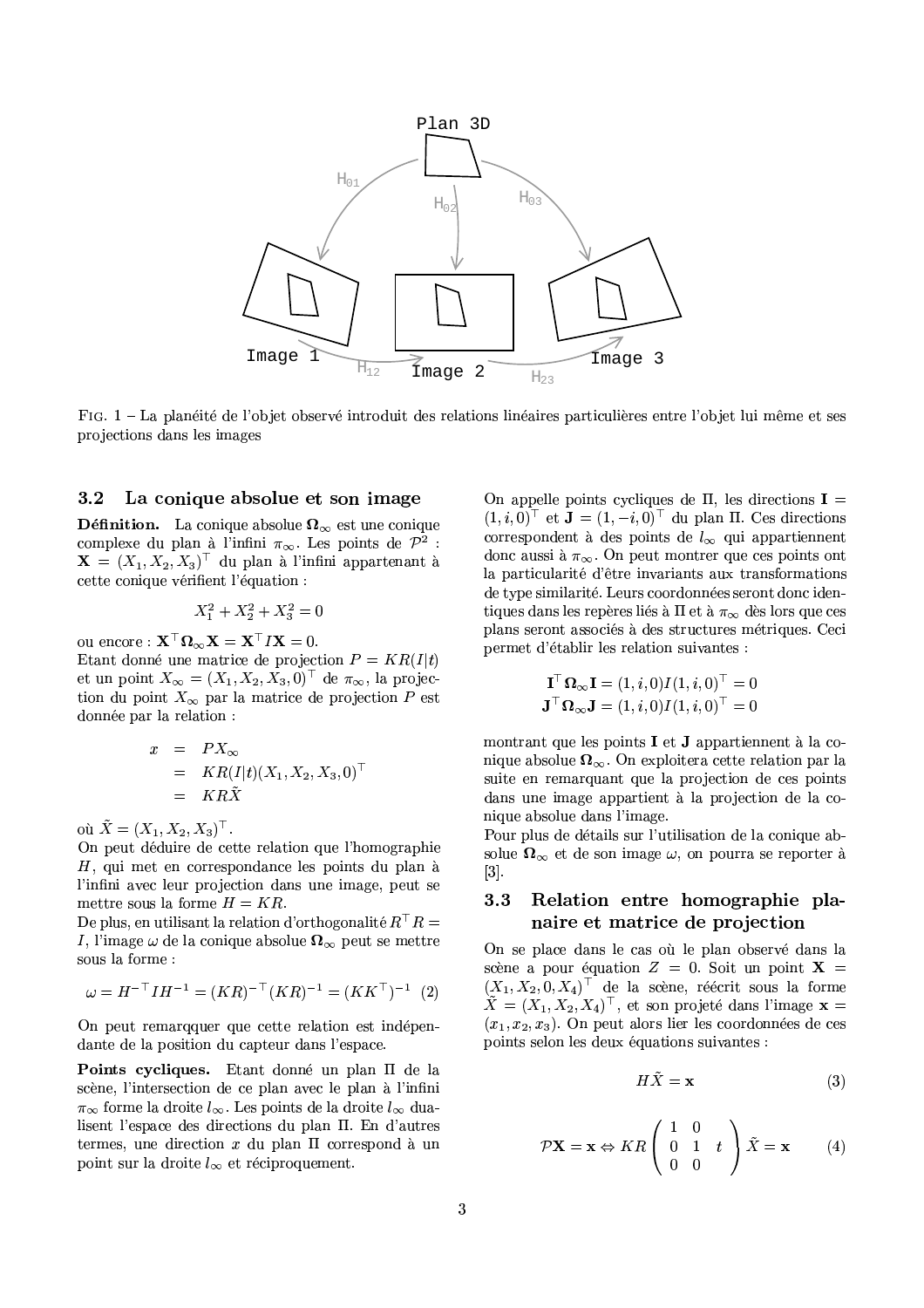

FIG. 1 – La planéité de l'objet observé introduit des relations linéaires particulières entre l'objet lui même et ses projections dans les images

#### La conique absolue et son image  $3.2$

**Définition.** La conique absolue  $\Omega_{\infty}$  est une conique complexe du plan à l'infini  $\pi_{\infty}$ . Les points de  $\mathcal{P}^2$ :  $\mathbf{X} = (X_1, X_2, X_3)^\top$  du plan à l'infini appartenant à cette conique vérifient l'équation :

$$
X_1^2 + X_2^2 + X_3^2 = 0
$$

ou encore :  $\mathbf{X}^\top \mathbf{\Omega}_{\infty} \mathbf{X} = \mathbf{X}^\top I \mathbf{X} = 0$ . Etant donné une matrice de projection  $P = KR(I|t)$ et un point  $X_{\infty} = (X_1, X_2, X_3, 0)^{\top}$  de  $\pi_{\infty}$ , la projection du point  $X_{\infty}$  par la matrice de projection P est donnée par la relation :

$$
\begin{array}{rcl} x & = & PX_{\infty} \\ & = & KR(I|t)(X_1, X_2, X_3, 0)^\top \\ & = & KR\tilde{X} \end{array}
$$

où  $\tilde{X} = (X_1, X_2, X_3)^{\top}$ .

On peut déduire de cette relation que l'homographie  $H$ , qui met en correspondance les points du plan à l'infini avec leur projection dans une image, peut se mettre sous la forme  $H = KR$ .

De plus, en utilisant la relation d'orthogonalité  $R^{\top}R =$ I, l'image  $\omega$  de la conique absolue  $\Omega_{\infty}$  peut se mettre sous la forme :

$$
\omega = H^{-\top} I H^{-1} = (KR)^{-\top} (KR)^{-1} = (K K^{\top})^{-1} \tag{2}
$$

On peut remarqquer que cette relation est indépendante de la position du capteur dans l'espace.

Points cycliques. Etant donné un plan II de la scène, l'intersection de ce plan avec le plan à l'infini  $\pi_{\infty}$  forme la droite  $l_{\infty}$ . Les points de la droite  $l_{\infty}$  dualisent l'espace des directions du plan II. En d'autres termes, une direction  $x$  du plan  $\Pi$  correspond à un point sur la droite  $l_{\infty}$  et réciproquement.

On appelle points cycliques de  $\Pi$ , les directions  $I =$  $(1, i, 0)^\top$  et  $\mathbf{J} = (1, -i, 0)^\top$  du plan  $\Pi$ . Ces directions correspondent à des points de  $l_{\infty}$  qui appartiennent donc aussi à  $\pi_{\infty}$ . On peut montrer que ces points ont la particularité d'être invariants aux transformations de type similarité. Leurs coordonnées seront donc identiques dans les repères liés à  $\Pi$  et à  $\pi_{\infty}$  dès lors que ces plans seront associés à des structures métriques. Ceci permet d'établir les relation suivantes :

$$
\mathbf{I}^\top \mathbf{\Omega}_{\infty} \mathbf{I} = (1, i, 0) I(1, i, 0)^\top = 0
$$
  

$$
\mathbf{J}^\top \mathbf{\Omega}_{\infty} \mathbf{J} = (1, i, 0) I(1, i, 0)^\top = 0
$$

montrant que les points I et J appartiennent à la conique absolue  $\Omega_{\infty}$ . On exploitera cette relation par la suite en remarquant que la projection de ces points dans une image appartient à la projection de la conique absolue dans l'image.

Pour plus de détails sur l'utilisation de la conique absolue  $\Omega_{\infty}$  et de son image  $\omega$ , on pourra se reporter à  $[3]$ .

## $3.3$ Relation entre homographie planaire et matrice de projection

On se place dans le cas où le plan observé dans la scène a pour équation  $Z = 0$ . Soit un point  $X =$  $(X_1, X_2, 0, X_4)^\top$  de la scène, réécrit sous la forme  $\tilde{X} = (X_1, X_2, X_4)^\top$ , et son projeté dans l'image  $\mathbf{x} =$  $(x_1, x_2, x_3)$ . On peut alors lier les coordonnées de ces points selon les deux équations suivantes :

$$
H\tilde{X} = \mathbf{x} \tag{3}
$$

$$
\mathcal{P}X = \mathbf{x} \Leftrightarrow KR\begin{pmatrix} 1 & 0 \\ 0 & 1 & t \\ 0 & 0 \end{pmatrix} \tilde{X} = \mathbf{x} \tag{4}
$$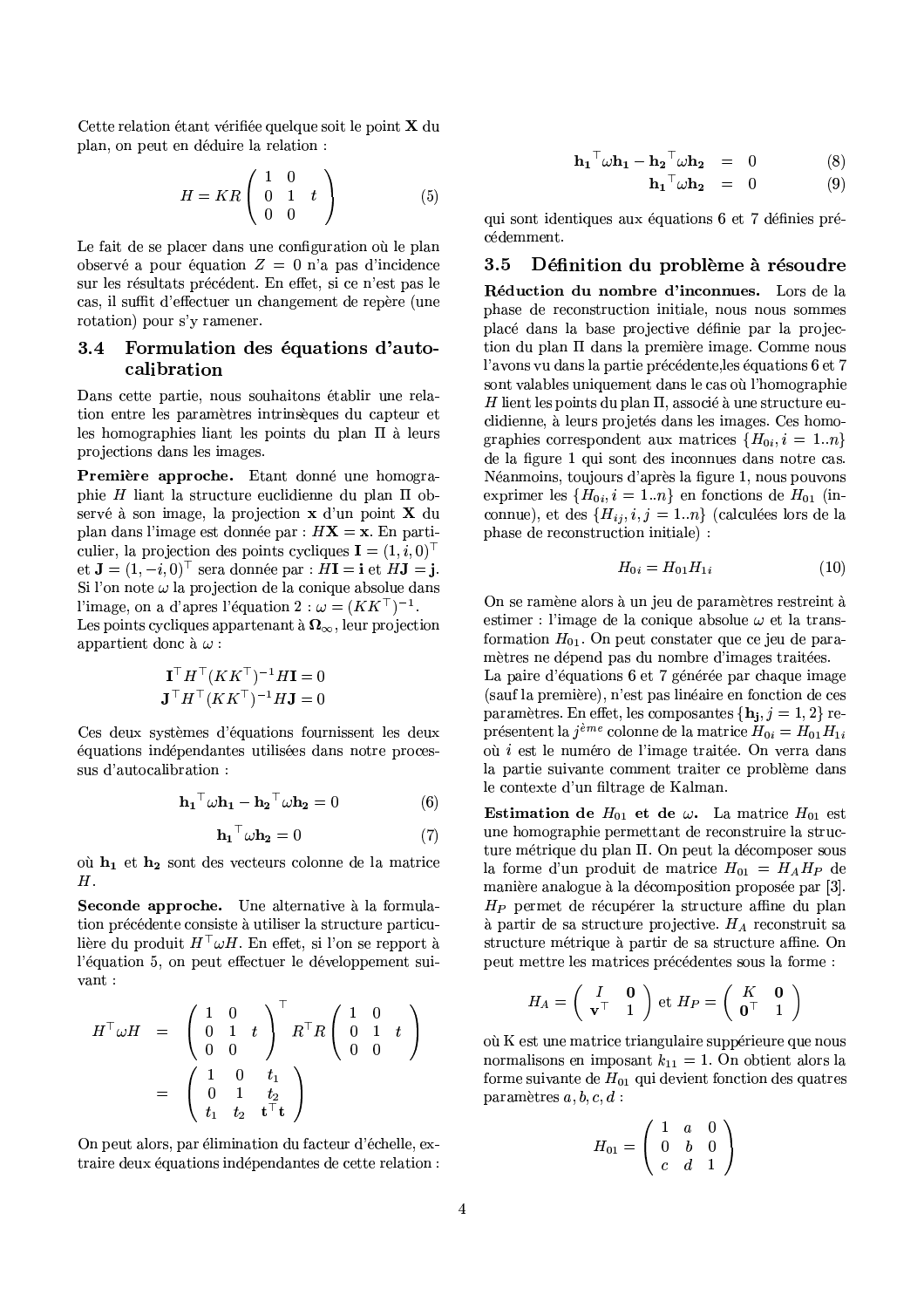Cette relation étant vérifiée quelque soit le point X du plan, on peut en déduire la relation :

$$
H = KR \left( \begin{array}{ccc} 1 & 0 \\ 0 & 1 & t \\ 0 & 0 \end{array} \right) \tag{5}
$$

Le fait de se placer dans une configuration où le plan observé a pour équation  $Z = 0$  n'a pas d'incidence sur les résultats précédent. En effet, si ce n'est pas le cas, il suffit d'effectuer un changement de repère (une rotation) pour s'y ramener.

## 3.4 Formulation des équations d'autocalibration

Dans cette partie, nous souhaitons établir une relation entre les paramètres intrinsèques du capteur et les homographies liant les points du plan  $\Pi$  à leurs projections dans les images.

Première approche. Etant donné une homographie H liant la structure euclidienne du plan  $\Pi$  observé à son image, la projection x d'un point X du plan dans l'image est donnée par :  $HX = x$ . En particulier, la projection des points cycliques  $\mathbf{I} = (1, i, 0)^{\top}$ et  $\mathbf{J} = (1, -i, 0)^\top$  sera donnée par :  $H\mathbf{I} = \mathbf{i}$  et  $H\mathbf{J} = \mathbf{j}$ . Si l'on note  $\omega$  la projection de la conique absolue dans l'image, on a d'apres l'équation 2 :  $\omega = (KK^{\top})^{-1}$ . Les points cycliques appartenant à  $\Omega_{\infty}$ , leur projection appartient donc à  $\omega$ :

$$
\mathbf{I}^\top H^\top (K K^\top)^{-1} H \mathbf{I} = 0
$$
  

$$
\mathbf{J}^\top H^\top (K K^\top)^{-1} H \mathbf{J} = 0
$$

Ces deux systèmes d'équations fournissent les deux équations indépendantes utilisées dans notre processus d'autocalibration :

$$
\mathbf{h_1}^\top \omega \mathbf{h_1} - \mathbf{h_2}^\top \omega \mathbf{h_2} = 0 \tag{6}
$$

$$
\mathbf{h_1}^\top \omega \mathbf{h_2} = 0 \tag{7}
$$

où  $h_1$  et  $h_2$  sont des vecteurs colonne de la matrice  $H.$ 

Seconde approche. Une alternative à la formulation précédente consiste à utiliser la structure particulière du produit  $H^{\top} \omega H$ . En effet, si l'on se repport à l'équation 5, on peut effectuer le développement suivant:

$$
H^{\top} \omega H = \begin{pmatrix} 1 & 0 \\ 0 & 1 & t \\ 0 & 0 \end{pmatrix}^{\top} R^{\top} R \begin{pmatrix} 1 & 0 \\ 0 & 1 & t \\ 0 & 0 \end{pmatrix}
$$

$$
= \begin{pmatrix} 1 & 0 & t_1 \\ 0 & 1 & t_2 \\ t_1 & t_2 & t^{\top} t \end{pmatrix}
$$

On peut alors, par élimination du facteur d'échelle, extraire deux équations indépendantes de cette relation :

$$
\mathbf{h_1}^\top \boldsymbol{\omega} \mathbf{h_1} - \mathbf{h_2}^\top \boldsymbol{\omega} \mathbf{h_2} = 0 \tag{8}
$$
  

$$
\mathbf{h_1}^\top \boldsymbol{\omega} \mathbf{h_2} = 0 \tag{9}
$$

qui sont identiques aux équations 6 et 7 définies précédemment.

#### Définition du problème à résoudre 3.5

Réduction du nombre d'inconnues. Lors de la phase de reconstruction initiale, nous nous sommes placé dans la base projective définie par la projection du plan II dans la première image. Comme nous l'avons vu dans la partie précédente, les équations 6 et 7 sont valables uniquement dans le cas où l'homographie H lient les points du plan  $\Pi$ , associé à une structure euclidienne, à leurs projetés dans les images. Ces homographies correspondent aux matrices  $\{H_{0i}, i = 1..n\}$ de la figure 1 qui sont des inconnues dans notre cas. Néanmoins, toujours d'après la figure 1, nous pouvons exprimer les  $\{H_{0i}, i = 1..n\}$  en fonctions de  $H_{01}$  (inconnue), et des  $\{H_{ij}, i, j = 1..n\}$  (calculées lors de la phase de reconstruction initiale) :

$$
H_{0i} = H_{01}H_{1i} \tag{10}
$$

On se ramène alors à un jeu de paramètres restreint à estimer : l'image de la conique absolue  $\omega$  et la transformation  $H_{01}$ . On peut constater que ce jeu de paramètres ne dépend pas du nombre d'images traitées.

La paire d'équations 6 et 7 générée par chaque image (sauf la première), n'est pas linéaire en fonction de ces paramètres. En effet, les composantes  $\{h_i, j = 1, 2\}$  représentent la  $j^{eme}$  colonne de la matrice  $H_{0i} = H_{01}H_{1i}$ où i est le numéro de l'image traitée. On verra dans la partie suivante comment traiter ce problème dans le contexte d'un filtrage de Kalman.

**Estimation de**  $H_{01}$  et de  $\omega$ . La matrice  $H_{01}$  est une homographie permettant de reconstruire la structure métrique du plan II. On peut la décomposer sous la forme d'un produit de matrice  $H_{01} = H_A H_P$  de manière analogue à la décomposition proposée par [3].  $H_P$  permet de récupérer la structure affine du plan à partir de sa structure projective.  $H_A$  reconstruit sa structure métrique à partir de sa structure affine. On peut mettre les matrices précédentes sous la forme :

$$
H_A = \left(\begin{array}{cc} I & \mathbf{0} \\ \mathbf{v}^\top & 1 \end{array}\right) \text{ et } H_P = \left(\begin{array}{cc} K & \mathbf{0} \\ \mathbf{0}^\top & 1 \end{array}\right)
$$

où K est une matrice triangulaire suppérieure que nous normalisons en imposant  $k_{11} = 1$ . On obtient alors la forme suivante de  $H_{01}$  qui devient fonction des quatres paramètres  $a, b, c, d$ :

$$
H_{01} = \left(\begin{array}{ccc} 1 & a & 0 \\ 0 & b & 0 \\ c & d & 1 \end{array}\right)
$$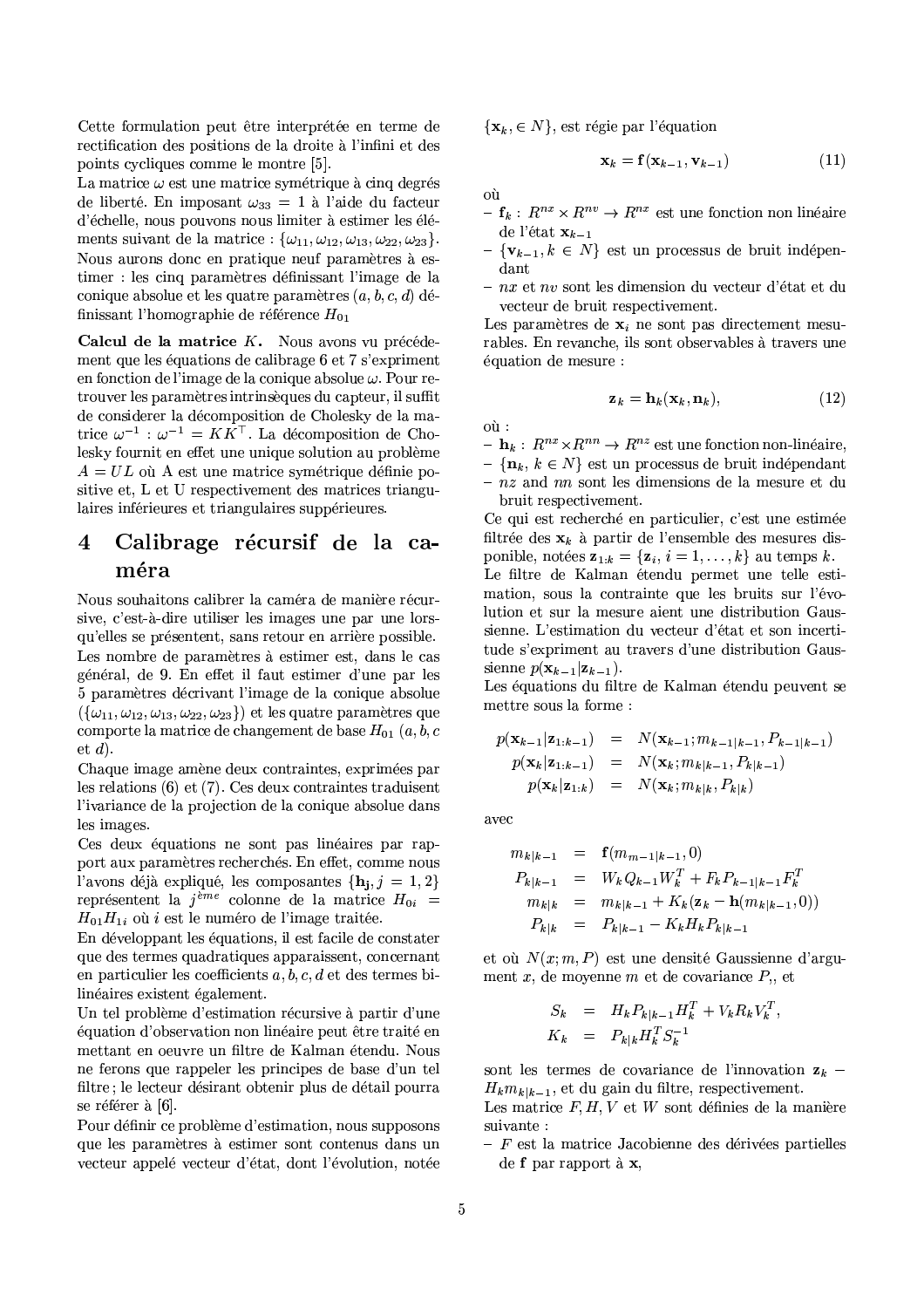Cette formulation peut être interprétée en terme de rectification des positions de la droite à l'infini et des points cycliques comme le montre [5].

La matrice  $\omega$  est une matrice symétrique à cinq degrés de liberté. En imposant  $\omega_{33} = 1$  à l'aide du facteur d'échelle, nous pouvons nous limiter à estimer les éléments suivant de la matrice :  $\{\omega_{11}, \omega_{12}, \omega_{13}, \omega_{22}, \omega_{23}\}.$ Nous aurons donc en pratique neuf paramètres à estimer : les cinq paramètres définissant l'image de la conique absolue et les quatre paramètres  $(a, b, c, d)$  définissant l'homographie de référence  $H_{01}$ 

Calcul de la matrice  $K$ . Nous avons vu précédement que les équations de calibrage 6 et 7 s'expriment en fonction de l'image de la conique absolue  $\omega$ . Pour retrouver les paramètres intrinsèques du capteur, il suffit de considerer la décomposition de Cholesky de la matrice  $\omega^{-1}$  :  $\omega^{-1} = K\overline{K}^{\top}$ . La décomposition de Cholesky fournit en effet une unique solution au problème  $A = UL$  où A est une matrice symétrique définie positive et, L et U respectivement des matrices triangulaires inférieures et triangulaires suppérieures.

## Calibrage récursif de la ca-4 méra

Nous souhaitons calibrer la caméra de manière récursive, c'est-à-dire utiliser les images une par une lorsqu'elles se présentent, sans retour en arrière possible. Les nombre de paramètres à estimer est, dans le cas général, de 9. En effet il faut estimer d'une par les 5 paramètres décrivant l'image de la conique absolue  $(\{\omega_{11}, \omega_{12}, \omega_{13}, \omega_{22}, \omega_{23}\})$  et les quatre paramètres que comporte la matrice de changement de base  $H_{01}$   $(a, b, c)$ et  $d$ ).

Chaque image amène deux contraintes, exprimées par les relations  $(6)$  et  $(7)$ . Ces deux contraintes traduisent l'ivariance de la projection de la conique absolue dans les images.

Ces deux équations ne sont pas linéaires par rapport aux paramètres recherchés. En effet, comme nous l'avons déjà expliqué, les composantes  $\{h_j, j = 1, 2\}$ représentent la  $j<sup>ème</sup>$  colonne de la matrice  $H_{0i}$  =  $H_{01}H_{1i}$  où *i* est le numéro de l'image traitée.

En développant les équations, il est facile de constater que des termes quadratiques apparaissent, concernant en particulier les coefficients  $a, b, c, d$  et des termes bilinéaires existent également.

Un tel problème d'estimation récursive à partir d'une équation d'observation non linéaire peut être traité en mettant en oeuvre un filtre de Kalman étendu. Nous ne ferons que rappeler les principes de base d'un tel filtre; le lecteur désirant obtenir plus de détail pourra se référer à [6].

Pour définir ce problème d'estimation, nous supposons que les paramètres à estimer sont contenus dans un vecteur appelé vecteur d'état, dont l'évolution, notée  $\{x_k, \in N\}$ , est régie par l'équation

$$
\mathbf{x}_k = \mathbf{f}(\mathbf{x}_{k-1}, \mathbf{v}_{k-1}) \tag{11}
$$

où

- $f_k: R^{nx} \times R^{nv} \to R^{nx}$  est une fonction non linéaire de l'état $\mathbf{x}_{k-1}$
- $-\{\mathbf{v}_{k-1}, k \in N\}$  est un processus de bruit indépendant
- nx et nv sont les dimension du vecteur d'état et du vecteur de bruit respectivement.

Les paramètres de  $x_i$  ne sont pas directement mesurables. En revanche, ils sont observables à travers une équation de mesure :

$$
\mathbf{z}_k = \mathbf{h}_k(\mathbf{x}_k, \mathbf{n}_k),\tag{12}
$$

 $où$ :

- $\mathbf{h}_k: R^{nx} \times R^{nn} \to R^{nz}$  est une fonction non-linéaire.
- $\{\mathbf{n}_k, k \in N\}$  est un processus de bruit indépendant
- $nz$  and nn sont les dimensions de la mesure et du bruit respectivement.

Ce qui est recherché en particulier, c'est une estimée filtrée des  $x_k$  à partir de l'ensemble des mesures disponible, notées  $\mathbf{z}_{1:k} = {\mathbf{z}_i, i = 1, ..., k}$  au temps k. Le filtre de Kalman étendu permet une telle estimation, sous la contrainte que les bruits sur l'évolution et sur la mesure aient une distribution Gaussienne. L'estimation du vecteur d'état et son incertitude s'expriment au travers d'une distribution Gaussienne  $p(\mathbf{x}_{k-1}|\mathbf{z}_{k-1}).$ 

Les équations du filtre de Kalman étendu peuvent se mettre sous la forme :

$$
p(\mathbf{x}_{k-1}|\mathbf{z}_{1:k-1}) = N(\mathbf{x}_{k-1}; m_{k-1|k-1}, P_{k-1|k-1})
$$
  
\n
$$
p(\mathbf{x}_k|\mathbf{z}_{1:k-1}) = N(\mathbf{x}_k; m_{k|k-1}, P_{k|k-1})
$$
  
\n
$$
p(\mathbf{x}_k|\mathbf{z}_{1:k}) = N(\mathbf{x}_k; m_{k|k}, P_{k|k})
$$

avec

$$
m_{k|k-1} = \mathbf{f}(m_{m-1|k-1}, 0)
$$
  
\n
$$
P_{k|k-1} = W_k Q_{k-1} W_k^T + F_k P_{k-1|k-1} F_k^T
$$
  
\n
$$
m_{k|k} = m_{k|k-1} + K_k (\mathbf{z}_k - \mathbf{h}(m_{k|k-1}, 0))
$$
  
\n
$$
P_{k|k} = P_{k|k-1} - K_k H_k P_{k|k-1}
$$

et où  $N(x; m, P)$  est une densité Gaussienne d'argument x, de moyenne m et de covariance  $P_{\rm u}$ , et

$$
S_k = H_k P_{k|k-1} H_k^T + V_k R_k V_k^T,
$$
  

$$
K_k = P_{k|k} H_k^T S_k^{-1}
$$

sont les termes de covariance de l'innovation  $z_k$  –  $H_k m_{k|k-1}$ , et du gain du filtre, respectivement.

Les matrice  $F, H, V$  et  $W$  sont définies de la manière suivante :

 $-F$  est la matrice Jacobienne des dérivées partielles de  $f$  par rapport à  $x$ ,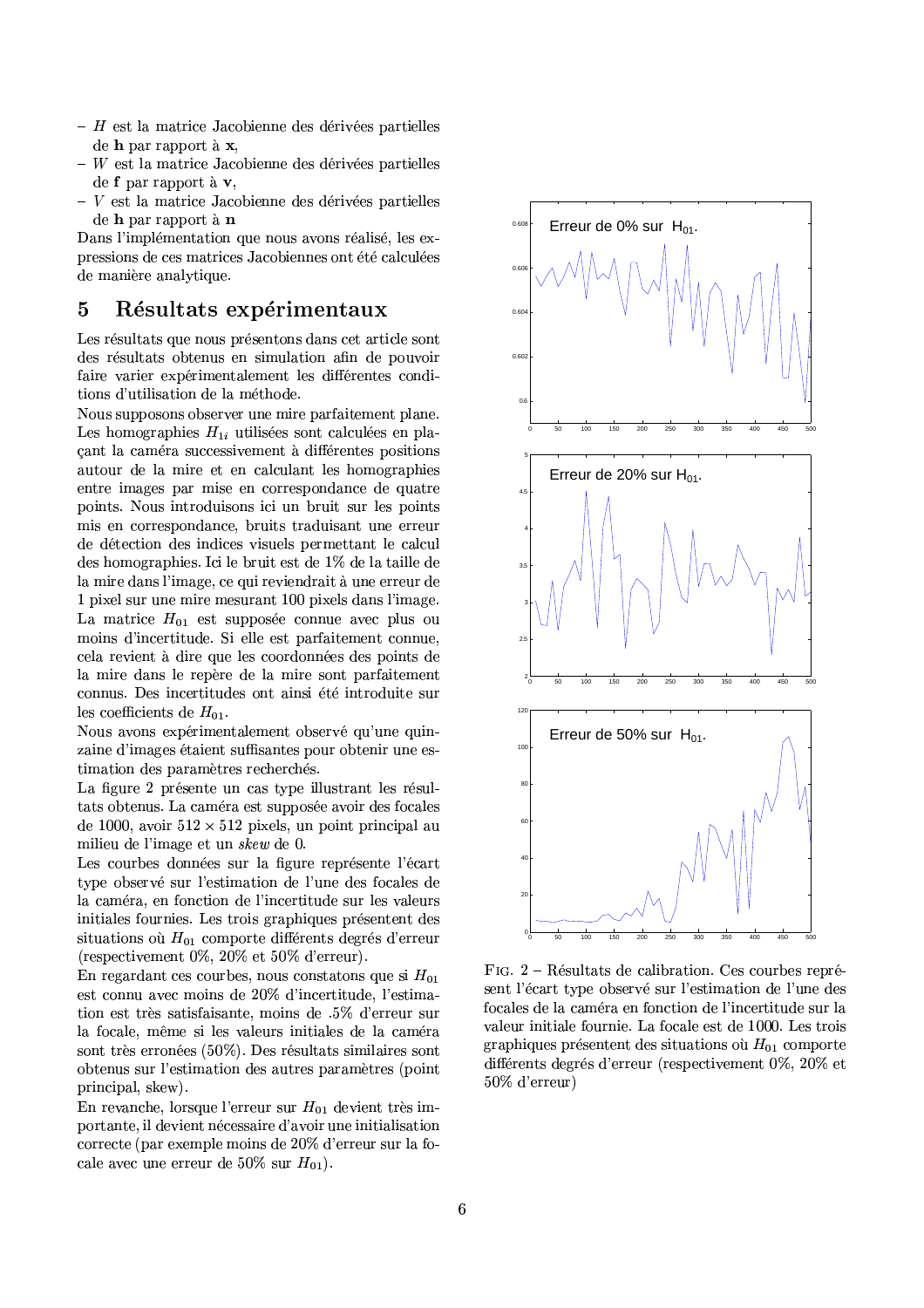- $-$  H est la matrice Jacobienne des dérivées partielles de h par rapport à x,
- $-$  W est la matrice Jacobienne des dérivées partielles de  $f$  par rapport à  $v$ .
- $V$  est la matrice Jacobienne des dérivées partielles de h par rapport à n

Dans l'implémentation que nous avons réalisé, les expressions de ces matrices Jacobiennes ont été calculées de manière analytique.

#### $\overline{5}$ Résultats expérimentaux

Les résultats que nous présentons dans cet article sont des résultats obtenus en simulation afin de pouvoir faire varier expérimentalement les différentes conditions d'utilisation de la méthode.

Nous supposons observer une mire parfaitement plane. Les homographies  $H_{1i}$  utilisées sont calculées en placant la caméra successivement à différentes positions autour de la mire et en calculant les homographies entre images par mise en correspondance de quatre points. Nous introduisons ici un bruit sur les points mis en correspondance, bruits traduisant une erreur de détection des indices visuels permettant le calcul des homographies. Ici le bruit est de 1% de la taille de la mire dans l'image, ce qui reviendrait à une erreur de 1 pixel sur une mire mesurant 100 pixels dans l'image. La matrice  $H_{01}$  est supposée connue avec plus ou moins d'incertitude. Si elle est parfaitement connue, cela revient à dire que les coordonnées des points de la mire dans le repère de la mire sont parfaitement connus. Des incertitudes ont ainsi été introduite sur les coefficients de  $H_{01}$ .

Nous avons expérimentalement observé qu'une quinzaine d'images étaient suffisantes pour obtenir une estimation des paramètres recherchés.

La figure 2 présente un cas type illustrant les résultats obtenus. La caméra est supposée avoir des focales de 1000, avoir  $512 \times 512$  pixels, un point principal au milieu de l'image et un skew de 0.

Les courbes données sur la figure représente l'écart type observé sur l'estimation de l'une des focales de la caméra, en fonction de l'incertitude sur les valeurs initiales fournies. Les trois graphiques présentent des situations où  $H_{01}$  comporte différents degrés d'erreur (respectivement  $0\%$ ,  $20\%$  et  $50\%$  d'erreur).

En regardant ces courbes, nous constatons que si  $H_{01}$ est connu avec moins de 20% d'incertitude, l'estimation est très satisfaisante, moins de .5% d'erreur sur la focale, même si les valeurs initiales de la caméra sont très erronées (50%). Des résultats similaires sont obtenus sur l'estimation des autres paramètres (point principal, skew).

En revanche, lorsque l'erreur sur  $H_{01}$  devient très importante, il devient nécessaire d'avoir une initialisation correcte (par exemple moins de 20% d'erreur sur la focale avec une erreur de 50% sur  $H_{01}$ ).



FIG. 2 - Résultats de calibration. Ces courbes représent l'écart type observé sur l'estimation de l'une des focales de la caméra en fonction de l'incertitude sur la valeur initiale fournie. La focale est de 1000. Les trois graphiques présentent des situations où  $H_{01}$  comporte différents degrés d'erreur (respectivement 0%, 20% et 50% d'erreur)